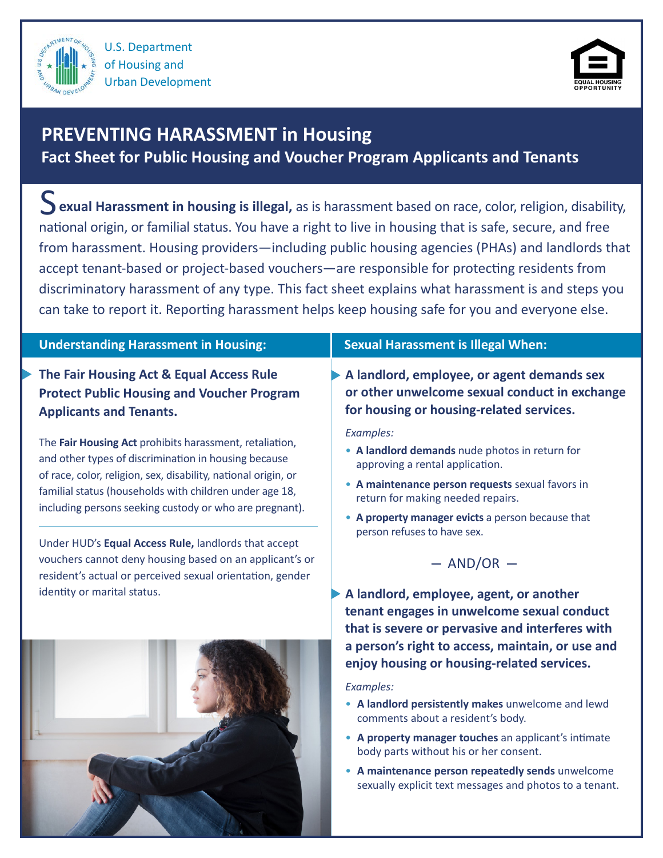



# **PREVENTING HARASSMENT in Housing**

**Fact Sheet for Public Housing and Voucher Program Applicants and Tenants**

j S **exual Harassment in housing is illegal,** as is harassment based on race, color, religion, disability, national origin, or familial status. You have a right to live in housing that is safe, secure, and free from harassment. Housing providers—including public housing agencies (PHAs) and landlords that accept tenant-based or project-based vouchers—are responsible for protecting residents from discriminatory harassment of any type. This fact sheet explains what harassment is and steps you can take to report it. Reporting harassment helps keep housing safe for you and everyone else.

### **Understanding Harassment in Housing:**

**The Fair Housing Act & Equal Access Rule Protect Public Housing and Voucher Program Applicants and Tenants.**

The **Fair Housing Act** prohibits harassment, retaliation, and other types of discrimination in housing because of race, color, religion, sex, disability, national origin, or familial status (households with children under age 18, including persons seeking custody or who are pregnant).

Under HUD's **Equal Access Rule,** landlords that accept vouchers cannot deny housing based on an applicant's or resident's actual or perceived sexual orientation, gender identity or marital status.



## **Sexual Harassment is Illegal When:**

**A landlord, employee, or agent demands sex or other unwelcome sexual conduct in exchange for housing or housing-related services.** 

*Examples:*

- **A landlord demands** nude photos in return for approving a rental application.
- **A maintenance person requests** sexual favors in return for making needed repairs.
- **A property manager evicts** a person because that person refuses to have sex.



**A landlord, employee, agent, or another tenant engages in unwelcome sexual conduct that is severe or pervasive and interferes with a person's right to access, maintain, or use and enjoy housing or housing-related services.**

*Examples:*

- **A landlord persistently makes** unwelcome and lewd comments about a resident's body.
- **A property manager touches** an applicant's intimate body parts without his or her consent.
- **A maintenance person repeatedly sends** unwelcome sexually explicit text messages and photos to a tenant.